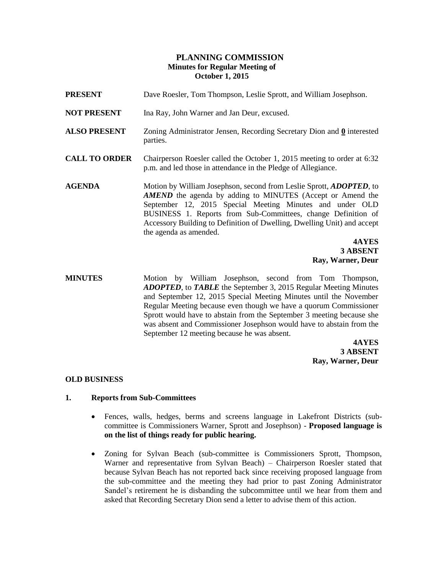## **PLANNING COMMISSION Minutes for Regular Meeting of October 1, 2015**

| <b>PRESENT</b>       | Dave Roesler, Tom Thompson, Leslie Sprott, and William Josephson.                                                                                                                                                                                                                                                                                                           |
|----------------------|-----------------------------------------------------------------------------------------------------------------------------------------------------------------------------------------------------------------------------------------------------------------------------------------------------------------------------------------------------------------------------|
| <b>NOT PRESENT</b>   | Ina Ray, John Warner and Jan Deur, excused.                                                                                                                                                                                                                                                                                                                                 |
| <b>ALSO PRESENT</b>  | Zoning Administrator Jensen, Recording Secretary Dion and 0 interested<br>parties.                                                                                                                                                                                                                                                                                          |
| <b>CALL TO ORDER</b> | Chairperson Roesler called the October 1, 2015 meeting to order at 6:32<br>p.m. and led those in attendance in the Pledge of Allegiance.                                                                                                                                                                                                                                    |
| <b>AGENDA</b>        | Motion by William Josephson, second from Leslie Sprott, <i>ADOPTED</i> , to<br>AMEND the agenda by adding to MINUTES (Accept or Amend the<br>September 12, 2015 Special Meeting Minutes and under OLD<br>BUSINESS 1. Reports from Sub-Committees, change Definition of<br>Accessory Building to Definition of Dwelling, Dwelling Unit) and accept<br>the agenda as amended. |
|                      | 4AYES                                                                                                                                                                                                                                                                                                                                                                       |
|                      | 3 ABSENT                                                                                                                                                                                                                                                                                                                                                                    |

**Ray, Warner, Deur MINUTES** Motion by William Josephson, second from Tom Thompson, *ADOPTED*, to *TABLE* the September 3, 2015 Regular Meeting Minutes and September 12, 2015 Special Meeting Minutes until the November Regular Meeting because even though we have a quorum Commissioner Sprott would have to abstain from the September 3 meeting because she was absent and Commissioner Josephson would have to abstain from the September 12 meeting because he was absent.

> **4AYES 3 ABSENT Ray, Warner, Deur**

## **OLD BUSINESS**

## **1. Reports from Sub-Committees**

- Fences, walls, hedges, berms and screens language in Lakefront Districts (subcommittee is Commissioners Warner, Sprott and Josephson) - **Proposed language is on the list of things ready for public hearing.**
- Zoning for Sylvan Beach (sub-committee is Commissioners Sprott, Thompson, Warner and representative from Sylvan Beach) – Chairperson Roesler stated that because Sylvan Beach has not reported back since receiving proposed language from the sub-committee and the meeting they had prior to past Zoning Administrator Sandel's retirement he is disbanding the subcommittee until we hear from them and asked that Recording Secretary Dion send a letter to advise them of this action.